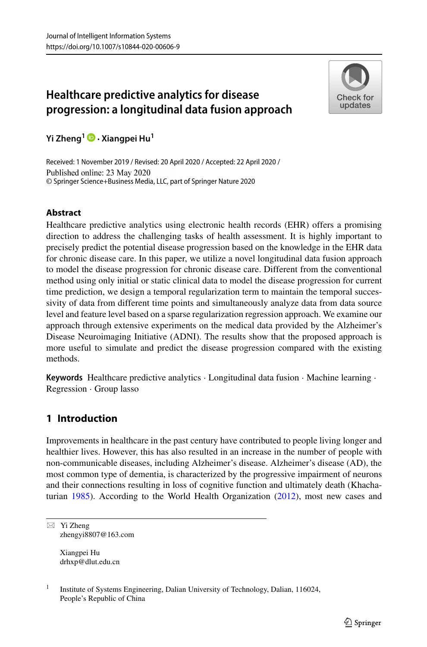# **Healthcare predictive analytics for disease progression: a longitudinal data fusion approach**



**Yi Zheng1 · Xiangpei Hu<sup>1</sup>**

Received: 1 November 2019 / Revised: 20 April 2020 / Accepted: 22 April 2020 / Published online: 23 May 2020 © Springer Science+Business Media, LLC, part of Springer Nature 2020

# **Abstract**

Healthcare predictive analytics using electronic health records (EHR) offers a promising direction to address the challenging tasks of health assessment. It is highly important to precisely predict the potential disease progression based on the knowledge in the EHR data for chronic disease care. In this paper, we utilize a novel longitudinal data fusion approach to model the disease progression for chronic disease care. Different from the conventional method using only initial or static clinical data to model the disease progression for current time prediction, we design a temporal regularization term to maintain the temporal successivity of data from different time points and simultaneously analyze data from data source level and feature level based on a sparse regularization regression approach. We examine our approach through extensive experiments on the medical data provided by the Alzheimer's Disease Neuroimaging Initiative (ADNI). The results show that the proposed approach is more useful to simulate and predict the disease progression compared with the existing methods.

**Keywords** Healthcare predictive analytics · Longitudinal data fusion · Machine learning · Regression · Group lasso

# **1 Introduction**

Improvements in healthcare in the past century have contributed to people living longer and healthier lives. However, this has also resulted in an increase in the number of people with non-communicable diseases, including Alzheimer's disease. Alzheimer's disease (AD), the most common type of dementia, is characterized by the progressive impairment of neurons and their connections resulting in loss of cognitive function and ultimately death (Khachaturian [1985\)](#page-17-0). According to the World Health Organization [\(2012\)](#page-17-1), most new cases and

 $\boxtimes$  Yi Zheng [zhengyi8807@163.com](mailto: zhengyi8807@163.com)

> Xiangpei Hu [drhxp@dlut.edu.cn](mailto: drhxp@dlut.edu.cn)

<sup>&</sup>lt;sup>1</sup> Institute of Systems Engineering, Dalian University of Technology, Dalian, 116024, People's Republic of China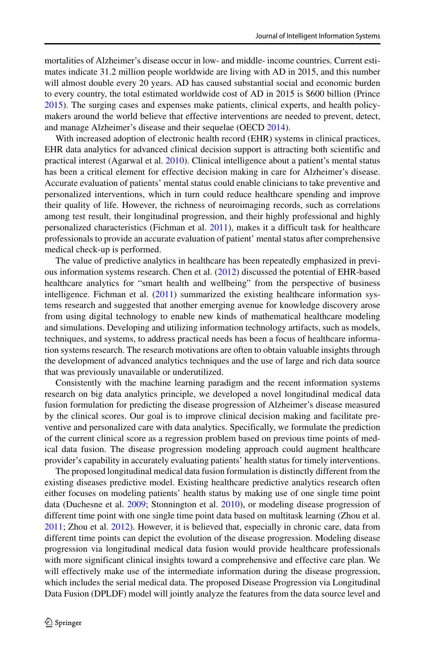mortalities of Alzheimer's disease occur in low- and middle- income countries. Current estimates indicate 31.2 million people worldwide are living with AD in 2015, and this number will almost double every 20 years. AD has caused substantial social and economic burden to every country, the total estimated worldwide cost of AD in 2015 is \$600 billion (Prince [2015\)](#page-17-2). The surging cases and expenses make patients, clinical experts, and health policymakers around the world believe that effective interventions are needed to prevent, detect, and manage Alzheimer's disease and their sequelae (OECD [2014\)](#page-17-3).

With increased adoption of electronic health record (EHR) systems in clinical practices, EHR data analytics for advanced clinical decision support is attracting both scientific and practical interest (Agarwal et al. [2010\)](#page-17-4). Clinical intelligence about a patient's mental status has been a critical element for effective decision making in care for Alzheimer's disease. Accurate evaluation of patients' mental status could enable clinicians to take preventive and personalized interventions, which in turn could reduce healthcare spending and improve their quality of life. However, the richness of neuroimaging records, such as correlations among test result, their longitudinal progression, and their highly professional and highly personalized characteristics (Fichman et al. [2011\)](#page-17-5), makes it a difficult task for healthcare professionals to provide an accurate evaluation of patient' mental status after comprehensive medical check-up is performed.

The value of predictive analytics in healthcare has been repeatedly emphasized in previous information systems research. Chen et al. [\(2012\)](#page-17-6) discussed the potential of EHR-based healthcare analytics for "smart health and wellbeing" from the perspective of business intelligence. Fichman et al. [\(2011\)](#page-17-5) summarized the existing healthcare information systems research and suggested that another emerging avenue for knowledge discovery arose from using digital technology to enable new kinds of mathematical healthcare modeling and simulations. Developing and utilizing information technology artifacts, such as models, techniques, and systems, to address practical needs has been a focus of healthcare information systems research. The research motivations are often to obtain valuable insights through the development of advanced analytics techniques and the use of large and rich data source that was previously unavailable or underutilized.

Consistently with the machine learning paradigm and the recent information systems research on big data analytics principle, we developed a novel longitudinal medical data fusion formulation for predicting the disease progression of Alzheimer's disease measured by the clinical scores. Our goal is to improve clinical decision making and facilitate preventive and personalized care with data analytics. Specifically, we formulate the prediction of the current clinical score as a regression problem based on previous time points of medical data fusion. The disease progression modeling approach could augment healthcare provider's capability in accurately evaluating patients' health status for timely interventions.

The proposed longitudinal medical data fusion formulation is distinctly different from the existing diseases predictive model. Existing healthcare predictive analytics research often either focuses on modeling patients' health status by making use of one single time point data (Duchesne et al. [2009;](#page-17-7) Stonnington et al. [2010\)](#page-17-8), or modeling disease progression of different time point with one single time point data based on multitask learning (Zhou et al. [2011;](#page-18-0) Zhou et al. [2012\)](#page-18-1). However, it is believed that, especially in chronic care, data from different time points can depict the evolution of the disease progression. Modeling disease progression via longitudinal medical data fusion would provide healthcare professionals with more significant clinical insights toward a comprehensive and effective care plan. We will effectively make use of the intermediate information during the disease progression, which includes the serial medical data. The proposed Disease Progression via Longitudinal Data Fusion (DPLDF) model will jointly analyze the features from the data source level and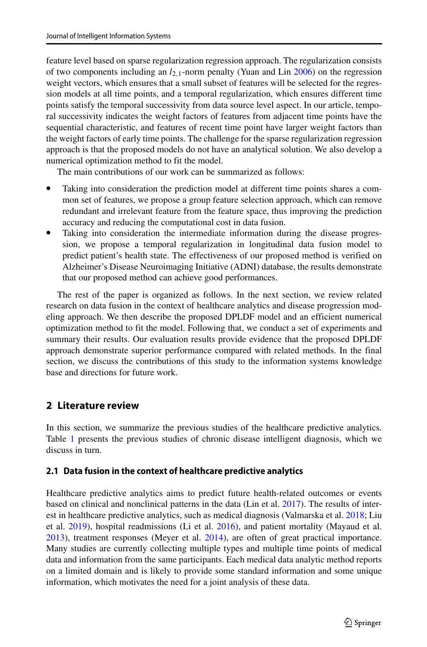feature level based on sparse regularization regression approach. The regularization consists of two components including an *l*2*,*1-norm penalty (Yuan and Lin [2006\)](#page-18-2) on the regression weight vectors, which ensures that a small subset of features will be selected for the regression models at all time points, and a temporal regularization, which ensures different time points satisfy the temporal successivity from data source level aspect. In our article, temporal successivity indicates the weight factors of features from adjacent time points have the sequential characteristic, and features of recent time point have larger weight factors than the weight factors of early time points. The challenge for the sparse regularization regression approach is that the proposed models do not have an analytical solution. We also develop a numerical optimization method to fit the model.

The main contributions of our work can be summarized as follows:

- Taking into consideration the prediction model at different time points shares a common set of features, we propose a group feature selection approach, which can remove redundant and irrelevant feature from the feature space, thus improving the prediction accuracy and reducing the computational cost in data fusion.
- Taking into consideration the intermediate information during the disease progression, we propose a temporal regularization in longitudinal data fusion model to predict patient's health state. The effectiveness of our proposed method is verified on Alzheimer's Disease Neuroimaging Initiative (ADNI) database, the results demonstrate that our proposed method can achieve good performances.

The rest of the paper is organized as follows. In the next section, we review related research on data fusion in the context of healthcare analytics and disease progression modeling approach. We then describe the proposed DPLDF model and an efficient numerical optimization method to fit the model. Following that, we conduct a set of experiments and summary their results. Our evaluation results provide evidence that the proposed DPLDF approach demonstrate superior performance compared with related methods. In the final section, we discuss the contributions of this study to the information systems knowledge base and directions for future work.

### **2 Literature review**

In this section, we summarize the previous studies of the healthcare predictive analytics. Table [1](#page-3-0) presents the previous studies of chronic disease intelligent diagnosis, which we discuss in turn.

### **2.1 Data fusion in the context of healthcare predictive analytics**

Healthcare predictive analytics aims to predict future health-related outcomes or events based on clinical and nonclinical patterns in the data (Lin et al. [2017\)](#page-17-9). The results of interest in healthcare predictive analytics, such as medical diagnosis (Valmarska et al. [2018;](#page-17-10) Liu et al. [2019\)](#page-17-11), hospital readmissions (Li et al. [2016\)](#page-17-12), and patient mortality (Mayaud et al. [2013\)](#page-17-13), treatment responses (Meyer et al. [2014\)](#page-17-14), are often of great practical importance. Many studies are currently collecting multiple types and multiple time points of medical data and information from the same participants. Each medical data analytic method reports on a limited domain and is likely to provide some standard information and some unique information, which motivates the need for a joint analysis of these data.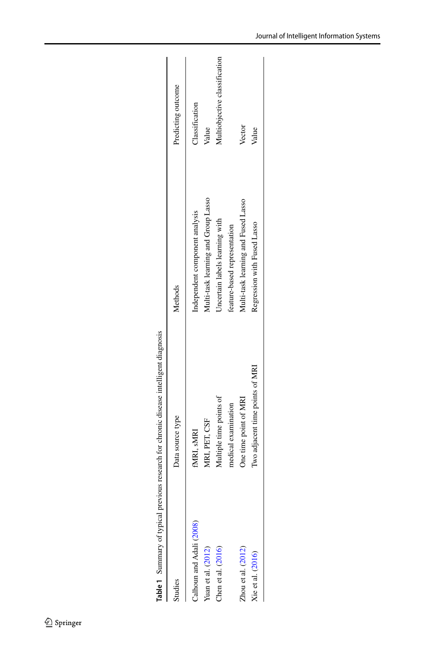|                          | <b>Table 1</b> Summary of typical previous research for chronic disease intelligent diagnosis |                                     |                               |
|--------------------------|-----------------------------------------------------------------------------------------------|-------------------------------------|-------------------------------|
| Studies                  | Data source type                                                                              | Methods                             | Predicting outcome            |
| Calhoun and Adali (2008) | fMRI, sMRI                                                                                    | Independent component analysis      | Classification                |
| Yuan et al. (2012)       | MRI, PET, CSF                                                                                 | Multi-task learning and Group Lasso | Value                         |
| Chen et al. (2016)       | Multiple time points of                                                                       | Uncertain labels learning with      | Multiobjective classification |
|                          | medical examination                                                                           | feature-based representation        |                               |
| Zhou et al. $(2012)$     | One time point of MRI                                                                         | Multi-task learning and Fused Lasso | Vector                        |
| Xie et al. (2016)        | Two adjacent time points of MRI                                                               | Regression with Fused Lasso         | Value                         |
|                          |                                                                                               |                                     |                               |

<span id="page-3-0"></span>

| ۱              |
|----------------|
| í<br>ļ         |
| í              |
| ׇ֚֕֡<br>١<br>ì |
| i<br>í         |
| l              |
| くくりく こうし       |
| l              |
| l<br>I<br>l    |
|                |
| ֚֚֚֬<br>į      |
|                |
|                |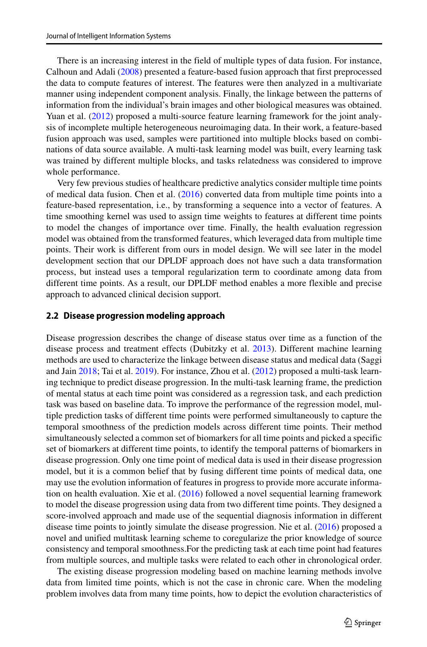There is an increasing interest in the field of multiple types of data fusion. For instance, Calhoun and Adali [\(2008\)](#page-17-15) presented a feature-based fusion approach that first preprocessed the data to compute features of interest. The features were then analyzed in a multivariate manner using independent component analysis. Finally, the linkage between the patterns of information from the individual's brain images and other biological measures was obtained. Yuan et al. [\(2012\)](#page-17-16) proposed a multi-source feature learning framework for the joint analysis of incomplete multiple heterogeneous neuroimaging data. In their work, a feature-based fusion approach was used, samples were partitioned into multiple blocks based on combinations of data source available. A multi-task learning model was built, every learning task was trained by different multiple blocks, and tasks relatedness was considered to improve whole performance.

Very few previous studies of healthcare predictive analytics consider multiple time points of medical data fusion. Chen et al. [\(2016\)](#page-17-17) converted data from multiple time points into a feature-based representation, i.e., by transforming a sequence into a vector of features. A time smoothing kernel was used to assign time weights to features at different time points to model the changes of importance over time. Finally, the health evaluation regression model was obtained from the transformed features, which leveraged data from multiple time points. Their work is different from ours in model design. We will see later in the model development section that our DPLDF approach does not have such a data transformation process, but instead uses a temporal regularization term to coordinate among data from different time points. As a result, our DPLDF method enables a more flexible and precise approach to advanced clinical decision support.

#### <span id="page-4-0"></span>**2.2 Disease progression modeling approach**

Disease progression describes the change of disease status over time as a function of the disease process and treatment effects (Dubitzky et al. [2013\)](#page-17-19). Different machine learning methods are used to characterize the linkage between disease status and medical data (Saggi and Jain [2018;](#page-17-20) Tai et al. [2019\)](#page-17-21). For instance, Zhou et al. [\(2012\)](#page-18-1) proposed a multi-task learning technique to predict disease progression. In the multi-task learning frame, the prediction of mental status at each time point was considered as a regression task, and each prediction task was based on baseline data. To improve the performance of the regression model, multiple prediction tasks of different time points were performed simultaneously to capture the temporal smoothness of the prediction models across different time points. Their method simultaneously selected a common set of biomarkers for all time points and picked a specific set of biomarkers at different time points, to identify the temporal patterns of biomarkers in disease progression. Only one time point of medical data is used in their disease progression model, but it is a common belief that by fusing different time points of medical data, one may use the evolution information of features in progress to provide more accurate information on health evaluation. Xie et al. [\(2016\)](#page-17-18) followed a novel sequential learning framework to model the disease progression using data from two different time points. They designed a score-involved approach and made use of the sequential diagnosis information in different disease time points to jointly simulate the disease progression. Nie et al. [\(2016\)](#page-17-22) proposed a novel and unified multitask learning scheme to coregularize the prior knowledge of source consistency and temporal smoothness.For the predicting task at each time point had features from multiple sources, and multiple tasks were related to each other in chronological order.

The existing disease progression modeling based on machine learning methods involve data from limited time points, which is not the case in chronic care. When the modeling problem involves data from many time points, how to depict the evolution characteristics of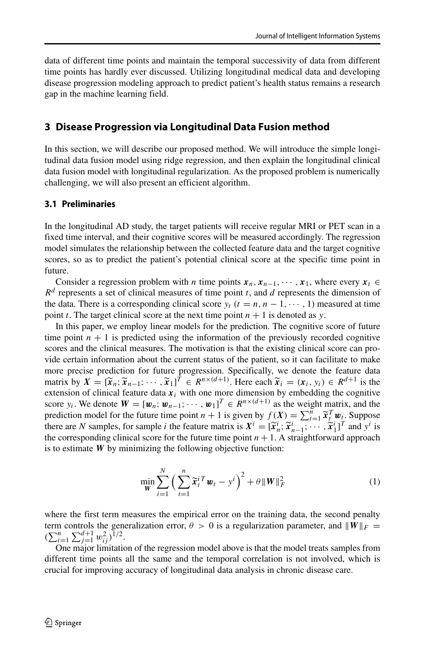data of different time points and maintain the temporal successivity of data from different time points has hardly ever discussed. Utilizing longitudinal medical data and developing disease progression modeling approach to predict patient's health status remains a research gap in the machine learning field.

### **3 Disease Progression via Longitudinal Data Fusion method**

In this section, we will describe our proposed method. We will introduce the simple longitudinal data fusion model using ridge regression, and then explain the longitudinal clinical data fusion model with longitudinal regularization. As the proposed problem is numerically challenging, we will also present an efficient algorithm.

#### **3.1 Preliminaries**

In the longitudinal AD study, the target patients will receive regular MRI or PET scan in a fixed time interval, and their cognitive scores will be measured accordingly. The regression model simulates the relationship between the collected feature data and the target cognitive scores, so as to predict the patient's potential clinical score at the specific time point in future.

Consider a regression problem with *n* time points  $x_n, x_{n-1}, \dots, x_1$ , where every  $x_t \in$ *R<sup>d</sup>* represents a set of clinical measures of time point *t*, and *d* represents the dimension of the data. There is a corresponding clinical score  $y_t$  ( $t = n, n - 1, \dots, 1$ ) measured at time point *t*. The target clinical score at the next time point  $n + 1$  is denoted as *y*.

In this paper, we employ linear models for the prediction. The cognitive score of future time point  $n + 1$  is predicted using the information of the previously recorded cognitive scores and the clinical measures. The motivation is that the existing clinical score can provide certain information about the current status of the patient, so it can facilitate to make more precise prediction for future progression. Specifically, we denote the feature data scores and the clinical measures. The motivation is that the existing clinical score can pro-<br>vide certain information about the current status of the patient, so it can facilitate to make<br>more precise prediction for futu extension of clinical feature data  $x_i$  with one more dimension by embedding the cognitive score *y<sub>i</sub>*. We denote  $W = [\mathbf{w}_n; \mathbf{w}_{n-1}; \cdots, \mathbf{w}_1]^T \in R^{n \times (d+1)}$  as the weight matrix, and the more precise prediction for future progression. Specifically, we denote the matrix by  $X = [\tilde{x}_n; \tilde{x}_{n-1}; \dots, \tilde{x}_1]^T \in R^{n \times (d+1)}$ . Here each  $\tilde{x}_i = (x_i, y_i)$  extension of clinical feature data  $x_i$  with one more dimension  $\widetilde{\mathbf{x}}_t^T \mathbf{w}_t$ . Suppose extension of clinical feature data  $x_i$  with one more dimension by embedding is score  $y_i$ . We denote  $W = [\mathbf{w}_n; \mathbf{w}_{n-1}; \cdots, \mathbf{w}_1]^T \in R^{n \times (d+1)}$  as the weight mappediction model for the future time point  $n + 1$  is gi  $\widetilde{\mathbf{x}}_n^i$ ;  $\widetilde{\mathbf{x}}_{n-1}^i$ ;  $\cdots$ ,  $\widetilde{\mathbf{x}}_1^i$ ]<sup>T</sup> and  $y^i$  is the corresponding clinical score for the future time point  $n + 1$ . A straightforward approach is to estimate  $\overrightarrow{W}$  by minimizing the following objective function:

$$
\min_{\mathbf{W}} \sum_{i=1}^{N} \left( \sum_{t=1}^{n} \widetilde{\mathbf{x}}_{t}^{i T} \mathbf{w}_{t} - y^{i} \right)^{2} + \theta \| \mathbf{W} \|_{F}^{2}
$$
(1)

where the first term measures the empirical error on the training data, the second penalty term controls the generalization error,  $\theta > 0$  is a regularization parameter, and  $||W||_F =$  $(\sum_{i=1}^n \sum_{j=1}^{d+1} w_{ij}^2)^{1/2}.$ 

One major limitation of the regression model above is that the model treats samples from different time points all the same and the temporal correlation is not involved, which is crucial for improving accuracy of longitudinal data analysis in chronic disease care.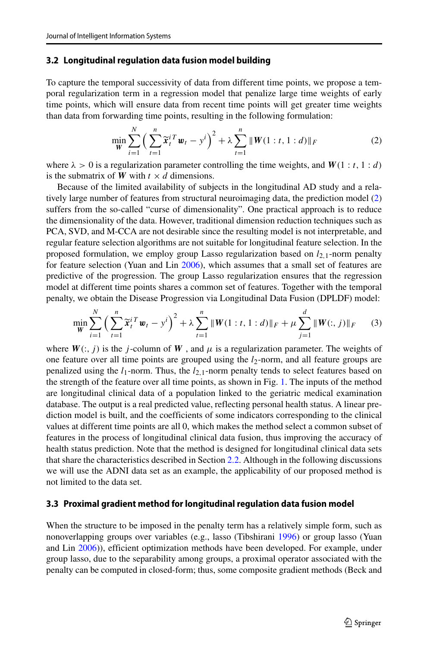#### **3.2 Longitudinal regulation data fusion model building**

To capture the temporal successivity of data from different time points, we propose a temporal regularization term in a regression model that penalize large time weights of early time points, which will ensure data from recent time points will get greater time weights than data from forwarding time points, resulting in the following formulation:

<span id="page-6-0"></span>
$$
\min_{\mathbf{W}} \sum_{i=1}^{N} \left( \sum_{t=1}^{n} \widetilde{\mathbf{x}}_{t}^{i T} \mathbf{w}_{t} - y^{i} \right)^{2} + \lambda \sum_{t=1}^{n} \| \mathbf{W}(1 : t, 1 : d) \|_{F}
$$
(2)

where  $\lambda > 0$  is a regularization parameter controlling the time weights, and  $W(1 : t, 1 : d)$ is the submatrix of *W* with  $t \times d$  dimensions.

Because of the limited availability of subjects in the longitudinal AD study and a relatively large number of features from structural neuroimaging data, the prediction model [\(2\)](#page-6-0) suffers from the so-called "curse of dimensionality". One practical approach is to reduce the dimensionality of the data. However, traditional dimension reduction techniques such as PCA, SVD, and M-CCA are not desirable since the resulting model is not interpretable, and regular feature selection algorithms are not suitable for longitudinal feature selection. In the proposed formulation, we employ group Lasso regularization based on *l*2*,*1-norm penalty for feature selection (Yuan and Lin [2006\)](#page-18-2), which assumes that a small set of features are predictive of the progression. The group Lasso regularization ensures that the regression model at different time points shares a common set of features. Together with the temporal penalty, we obtain the Disease Progression via Longitudinal Data Fusion (DPLDF) model:

<span id="page-6-1"></span>
$$
\min_{\mathbf{W}} \sum_{i=1}^{N} \left( \sum_{t=1}^{n} \widetilde{\mathbf{x}}_{t}^{i T} \mathbf{w}_{t} - y^{i} \right)^{2} + \lambda \sum_{t=1}^{n} \| \mathbf{W}(1 : t, 1 : d) \|_{F} + \mu \sum_{j=1}^{d} \| \mathbf{W}(:, j) \|_{F}
$$
(3)

where  $W(:,j)$  is the *j*-column of  $W$ , and  $\mu$  is a regularization parameter. The weights of one feature over all time points are grouped using the *l*2-norm, and all feature groups are penalized using the *l*1-norm. Thus, the *l*2*,*1-norm penalty tends to select features based on the strength of the feature over all time points, as shown in Fig. [1.](#page-7-0) The inputs of the method are longitudinal clinical data of a population linked to the geriatric medical examination database. The output is a real predicted value, reflecting personal health status. A linear prediction model is built, and the coefficients of some indicators corresponding to the clinical values at different time points are all 0, which makes the method select a common subset of features in the process of longitudinal clinical data fusion, thus improving the accuracy of health status prediction. Note that the method is designed for longitudinal clinical data sets that share the characteristics described in Section [2.2.](#page-4-0) Although in the following discussions we will use the ADNI data set as an example, the applicability of our proposed method is not limited to the data set.

#### **3.3 Proximal gradient method for longitudinal regulation data fusion model**

When the structure to be imposed in the penalty term has a relatively simple form, such as nonoverlapping groups over variables (e.g., lasso (Tibshirani [1996\)](#page-17-23) or group lasso (Yuan and Lin [2006\)](#page-18-2)), efficient optimization methods have been developed. For example, under group lasso, due to the separability among groups, a proximal operator associated with the penalty can be computed in closed-form; thus, some composite gradient methods (Beck and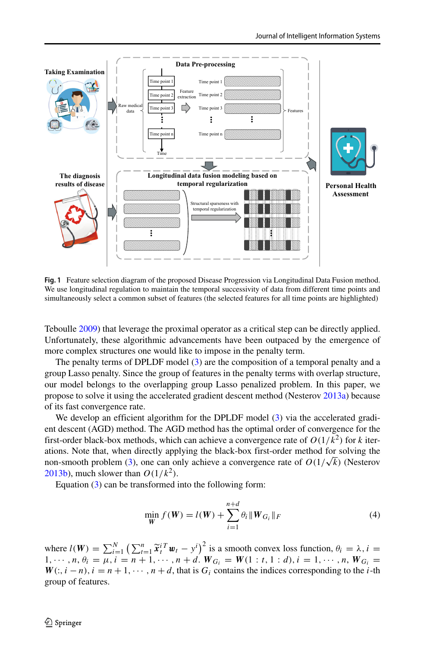<span id="page-7-0"></span>

**Fig. 1** Feature selection diagram of the proposed Disease Progression via Longitudinal Data Fusion method. We use longitudinal regulation to maintain the temporal successivity of data from different time points and simultaneously select a common subset of features (the selected features for all time points are highlighted)

Teboulle [2009\)](#page-17-24) that leverage the proximal operator as a critical step can be directly applied. Unfortunately, these algorithmic advancements have been outpaced by the emergence of more complex structures one would like to impose in the penalty term.

The penalty terms of DPLDF model [\(3\)](#page-6-1) are the composition of a temporal penalty and a group Lasso penalty. Since the group of features in the penalty terms with overlap structure, our model belongs to the overlapping group Lasso penalized problem. In this paper, we propose to solve it using the accelerated gradient descent method (Nesterov [2013a\)](#page-17-25) because of its fast convergence rate.

We develop an efficient algorithm for the DPLDF model [\(3\)](#page-6-1) via the accelerated gradient descent (AGD) method. The AGD method has the optimal order of convergence for the first-order black-box methods, which can achieve a convergence rate of  $O(1/k^2)$  for *k* iterations. Note that, when directly applying the black-box first-order method for solving the non-smooth problem [\(3\)](#page-6-1), one can only achieve a convergence rate of  $O(1/\sqrt{k})$  (Nesterov [2013b\)](#page-17-26), much slower than  $O(1/k^2)$ .

Equation [\(3\)](#page-6-1) can be transformed into the following form:

<span id="page-7-1"></span>
$$
\min_{\mathbf{W}} f(\mathbf{W}) = l(\mathbf{W}) + \sum_{i=1}^{n+d} \theta_i \|\mathbf{W}_{G_i}\|_F
$$
\n(4)  
\n
$$
\sum_{t=1}^{n} \tilde{\mathbf{x}}_t^{i \mathbf{T}} \mathbf{w}_t - \mathbf{y}^i \big)^2
$$
 is a smooth convex loss function,  $\theta_i = \lambda$ ,  $i =$ 

where  $l(W) = \sum_{i=1}^{N} (\sum_{i=1}^{n}$  $1, \dots, n, \theta_i = \mu, i = n+1, \dots, n+d$ .  $W_{G_i} = W(1:t, 1:d), i = 1, \dots, n, W_{G_i} =$  $W(:, i - n), i = n + 1, \cdots, n + d$ , that is  $G_i$  contains the indices corresponding to the *i*-th group of features.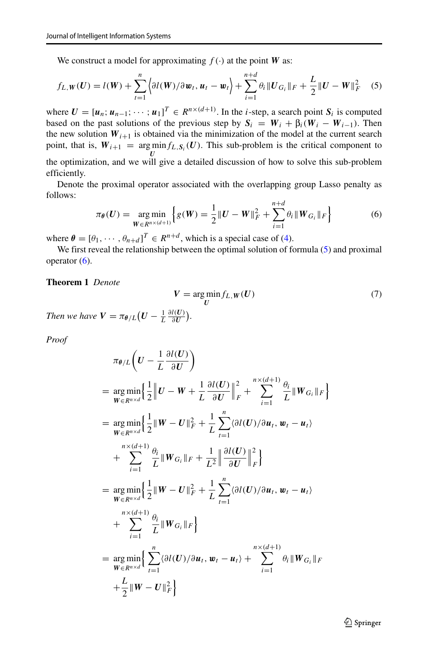<span id="page-8-0"></span>We construct a model for approximating  $f(\cdot)$  at the point *W* as:

We construct a model for approximating 
$$
f(\cdot)
$$
 at the point **W** as:  
\n
$$
f_{L,W}(U) = l(W) + \sum_{t=1}^{n} \left\langle \partial l(W)/\partial w_t, u_t - w_t \right\rangle + \sum_{i=1}^{n+d} \theta_i ||U_{G_i}||_F + \frac{L}{2} ||U - W||_F^2 \quad (5)
$$

 $\overline{a}$ 

where  $U = [u_n; u_{n-1}; \dots; u_1]^T \in R^{n \times (d+1)}$ . In the *i*-step, a search point  $S_i$  is computed based on the past solutions of the previous step by  $S_i = W_i + \beta_i (W_i - W_{i-1})$ . Then the new solution  $W_{i+1}$  is obtained via the minimization of the model at the current search point, that is,  $W_{i+1} = \arg \min_{I} f_{L,S_i}(U)$ . This sub-problem is the critical component to *U*<br>the optimization, and we will give a detailed discussion of how to solve this sub-problem<br>efficiently efficiently.

Denote the proximal operator associated with the overlapping group Lasso penalty as follows:

<span id="page-8-1"></span>
$$
\pi_{\theta}(U) = \underset{W \in R^{n \times (d+1)}}{\arg \min} \left\{ g(W) = \frac{1}{2} \|U - W\|_{F}^{2} + \sum_{i=1}^{n+d} \theta_{i} \|W_{G_{i}}\|_{F} \right\}
$$
(6)

where  $\theta = [\theta_1, \dots, \theta_{n+d}]^T \in R^{n+d}$ , which is a special case of [\(4\)](#page-7-1).

We first reveal the relationship between the optimal solution of formula [\(5\)](#page-8-0) and proximal operator  $(6)$ .

#### **Theorem 1** *Denote*

$$
V = \underset{U}{\arg\min} f_{L,W}(U) \tag{7}
$$

*Then we have* $V = \pi_{\theta/L}(U - \frac{1}{L} \frac{\partial l(U)}{\partial U}).$ **<br>***Proof***<br>** $\pi_{\theta/L}\left(U - \frac{1}{L} \frac{\partial l(U)}{\partial U}\right).$ 

*Proof*

$$
\pi_{\theta/L}\left(U-\frac{1}{L}\frac{\partial l(U)}{\partial U}\right)
$$
\n
$$
= \underset{W \in R^{n \times d}}{\arg \min} \left\{ \frac{1}{2} \left\| U-W+\frac{1}{L}\frac{\partial l(U)}{\partial U} \right\|_{F}^{2} + \sum_{i=1}^{n \times (d+1)} \frac{\theta_{i}}{L} \left\| W_{G_{i}} \right\|_{F} \right\}
$$
\n
$$
= \underset{W \in R^{n \times d}}{\arg \min} \left\{ \frac{1}{2} \left\| W-U \right\|_{F}^{2} + \frac{1}{L} \sum_{t=1}^{n} \left\langle \frac{\partial l(U)}{\partial U} \right\rangle \partial u_{t}, w_{t} - u_{t} \right\}
$$
\n
$$
+ \sum_{i=1}^{n \times (d+1)} \frac{\theta_{i}}{L} \left\| W_{G_{i}} \right\|_{F} + \frac{1}{L^{2}} \left\| \frac{\partial l(U)}{\partial U} \right\|_{F}^{2} \right\}
$$
\n
$$
= \underset{W \in R^{n \times d}}{\arg \min} \left\{ \frac{1}{2} \left\| W-U \right\|_{F}^{2} + \frac{1}{L} \sum_{t=1}^{n} \left\langle \frac{\partial l(U)}{\partial U} \right\rangle \partial u_{t}, w_{t} - u_{t} \right\}
$$
\n
$$
+ \sum_{i=1}^{n \times (d+1)} \frac{\theta_{i}}{L} \left\| W_{G_{i}} \right\|_{F} \right\}
$$
\n
$$
= \underset{W \in R^{n \times d}}{\arg \min} \left\{ \sum_{t=1}^{n} \left\langle \frac{\partial l(U)}{\partial u_{t}}, w_{t} - u_{t} \right\rangle + \sum_{i=1}^{n \times (d+1)} \theta_{i} \left\| W_{G_{i}} \right\|_{F} \right\}
$$
\n
$$
+ \frac{L}{2} \left\| W-U \right\|_{F}^{2} \right\}
$$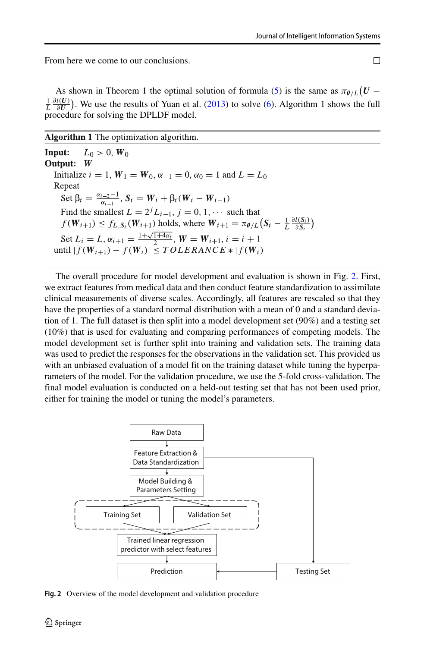From here we come to our conclusions.

As shown in Theorem 1 the optimal solution of formula [\(5\)](#page-8-0) is the same as  $\pi_{\theta/L}(U \frac{1}{L} \frac{\partial l(U)}{\partial U}$ . We use the results of Yuan et al. [\(2013\)](#page-18-3) to solve [\(6\)](#page-8-1). Algorithm 1 shows the full procedure for solving the DPLDF model.

Algorithm 1 The optimization algorithm.

 $L_0 > 0, W_0$ Input: Output: Initialize  $i = 1$ ,  $W_1 = W_0$ ,  $\alpha_{-1} = 0$ ,  $\alpha_0 = 1$  and  $L = L_0$ Repeat Set  $\beta_i = \frac{\alpha_{i-2}-1}{\alpha_{i-1}}, S_i = W_i + \beta_i (W_i - W_{i-1})$ Find the smallest  $L = 2^{j}L_{i-1}$ ,  $j = 0, 1, \cdots$  such that  $f(W_{i+1}) \le f_{L,S_i}(W_{i+1})$  holds, where  $W_{i+1} = \pi_{\theta/L}(S_i - \frac{1}{L} \frac{\partial l(S_i)}{\partial S_i})$ Set  $L_i = L$ ,  $\alpha_{i+1} = \frac{1 + \sqrt{1 + 4\alpha_i}}{2}$ ,  $W = W_{i+1}$ ,  $i = i + 1$ <br>until  $|f(W_{i+1}) - f(W_i)| \leq TOLERANCE * |f(W_i)|$ 

The overall procedure for model development and evaluation is shown in Fig. [2.](#page-9-0) First, we extract features from medical data and then conduct feature standardization to assimilate clinical measurements of diverse scales. Accordingly, all features are rescaled so that they have the properties of a standard normal distribution with a mean of 0 and a standard deviation of 1. The full dataset is then split into a model development set (90%) and a testing set (10%) that is used for evaluating and comparing performances of competing models. The model development set is further split into training and validation sets. The training data was used to predict the responses for the observations in the validation set. This provided us with an unbiased evaluation of a model fit on the training dataset while tuning the hyperparameters of the model. For the validation procedure, we use the 5-fold cross-validation. The final model evaluation is conducted on a held-out testing set that has not been used prior, either for training the model or tuning the model's parameters.

<span id="page-9-0"></span>

**Fig. 2** Overview of the model development and validation procedure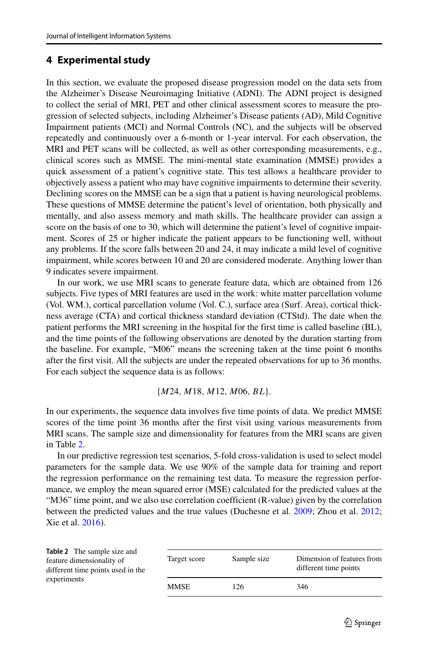## **4 Experimental study**

In this section, we evaluate the proposed disease progression model on the data sets from the Alzheimer's Disease Neuroimaging Initiative (ADNI). The ADNI project is designed to collect the serial of MRI, PET and other clinical assessment scores to measure the progression of selected subjects, including Alzheimer's Disease patients (AD), Mild Cognitive Impairment patients (MCI) and Normal Controls (NC), and the subjects will be observed repeatedly and continuously over a 6-month or 1-year interval. For each observation, the MRI and PET scans will be collected, as well as other corresponding measurements, e.g., clinical scores such as MMSE. The mini-mental state examination (MMSE) provides a quick assessment of a patient's cognitive state. This test allows a healthcare provider to objectively assess a patient who may have cognitive impairments to determine their severity. Declining scores on the MMSE can be a sign that a patient is having neurological problems. These questions of MMSE determine the patient's level of orientation, both physically and mentally, and also assess memory and math skills. The healthcare provider can assign a score on the basis of one to 30, which will determine the patient's level of cognitive impairment. Scores of 25 or higher indicate the patient appears to be functioning well, without any problems. If the score falls between 20 and 24, it may indicate a mild level of cognitive impairment, while scores between 10 and 20 are considered moderate. Anything lower than 9 indicates severe impairment.

In our work, we use MRI scans to generate feature data, which are obtained from 126 subjects. Five types of MRI features are used in the work: white matter parcellation volume (Vol. WM.), cortical parcellation volume (Vol. C.), surface area (Surf. Area), cortical thickness average (CTA) and cortical thickness standard deviation (CTStd). The date when the patient performs the MRI screening in the hospital for the first time is called baseline (BL), and the time points of the following observations are denoted by the duration starting from the baseline. For example, "M06" means the screening taken at the time point 6 months after the first visit. All the subjects are under the repeated observations for up to 36 months. For each subject the sequence data is as follows:

$$
{M24, M18, M12, M06, BL}.
$$

In our experiments, the sequence data involves five time points of data. We predict MMSE scores of the time point 36 months after the first visit using various measurements from MRI scans. The sample size and dimensionality for features from the MRI scans are given in Table [2.](#page-10-0)

In our predictive regression test scenarios, 5-fold cross-validation is used to select model parameters for the sample data. We use 90% of the sample data for training and report the regression performance on the remaining test data. To measure the regression performance, we employ the mean squared error (MSE) calculated for the predicted values at the "M36" time point, and we also use correlation coefficient (R-value) given by the correlation between the predicted values and the true values (Duchesne et al. [2009;](#page-17-7) Zhou et al. [2012;](#page-18-1) Xie et al. [2016\)](#page-17-18).

<span id="page-10-0"></span>

| <b>Table 2</b> The sample size and<br>feature dimensionality of<br>different time points used in the | Target score | Sample size | Dimension of features from<br>different time points |
|------------------------------------------------------------------------------------------------------|--------------|-------------|-----------------------------------------------------|
| experiments                                                                                          | <b>MMSE</b>  | 126         | 346                                                 |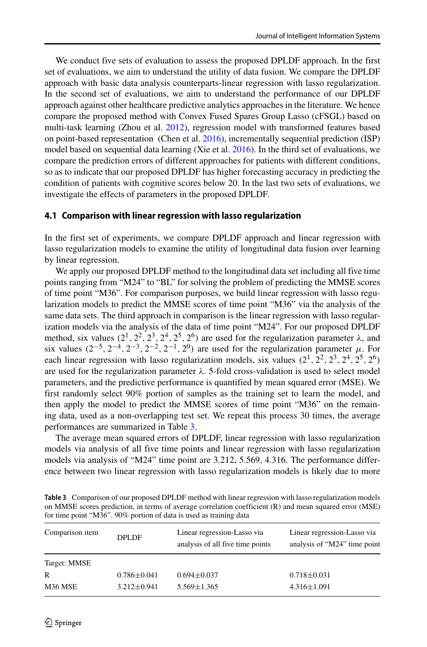We conduct five sets of evaluation to assess the proposed DPLDF approach. In the first set of evaluations, we aim to understand the utility of data fusion. We compare the DPLDF approach with basic data analysis counterparts-linear regression with lasso regularization. In the second set of evaluations, we aim to understand the performance of our DPLDF approach against other healthcare predictive analytics approaches in the literature. We hence compare the proposed method with Convex Fused Spares Group Lasso (cFSGL) based on multi-task learning (Zhou et al. [2012\)](#page-18-1), regression model with transformed features based on point-based representation (Chen et al. [2016\)](#page-17-17), incrementally sequential prediction (ISP) model based on sequential data learning (Xie et al. [2016\)](#page-17-18). In the third set of evaluations, we compare the prediction errors of different approaches for patients with different conditions, so as to indicate that our proposed DPLDF has higher forecasting accuracy in predicting the condition of patients with cognitive scores below 20. In the last two sets of evaluations, we investigate the effects of parameters in the proposed DPLDF.

#### **4.1 Comparison with linear regression with lasso regularization**

In the first set of experiments, we compare DPLDF approach and linear regression with lasso regularization models to examine the utility of longitudinal data fusion over learning by linear regression.

We apply our proposed DPLDF method to the longitudinal data set including all five time points ranging from "M24" to "BL" for solving the problem of predicting the MMSE scores of time point "M36". For comparison purposes, we build linear regression with lasso regularization models to predict the MMSE scores of time point "M36" via the analysis of the same data sets. The third approach in comparison is the linear regression with lasso regularization models via the analysis of the data of time point "M24". For our proposed DPLDF method, six values  $(2^1, 2^2, 2^3, 2^4, 2^5, 2^6)$  are used for the regularization parameter  $\lambda$ , and six values  $(2^{-5}, 2^{-4}, 2^{-3}, 2^{-2}, 2^{-1}, 2^{0})$  are used for the regularization parameter *μ*. For each linear regression with lasso regularization models, six values  $(2^1, 2^2, 2^3, 2^4, 2^5, 2^6)$ are used for the regularization parameter *λ*. 5-fold cross-validation is used to select model parameters, and the predictive performance is quantified by mean squared error (MSE). We first randomly select 90% portion of samples as the training set to learn the model, and then apply the model to predict the MMSE scores of time point "M36" on the remaining data, used as a non-overlapping test set. We repeat this process 30 times, the average performances are summarized in Table [3.](#page-11-0)

The average mean squared errors of DPLDF, linear regression with lasso regularization models via analysis of all five time points and linear regression with lasso regularization models via analysis of "M24" time point are 3.212, 5.569, 4.316. The performance difference between two linear regression with lasso regularization models is likely due to more

<span id="page-11-0"></span>

| Table 3 Comparison of our proposed DPLDF method with linear regression with lasso regularization models |
|---------------------------------------------------------------------------------------------------------|
| on MMSE scores prediction, in terms of average correlation coefficient (R) and mean squared error (MSE) |
| for time point "M36". 90% portion of data is used as training data                                      |

| Comparison item | <b>DPLDF</b>      | Linear regression-Lasso via<br>analysis of all five time points | Linear regression-Lasso via<br>analysis of "M24" time point |
|-----------------|-------------------|-----------------------------------------------------------------|-------------------------------------------------------------|
| Target: MMSE    |                   |                                                                 |                                                             |
| R               | $0.786 \pm 0.041$ | $0.694 \pm 0.037$                                               | $0.718 \pm 0.031$                                           |
| M36 MSE         | $3.212 \pm 0.941$ | $5.569 \pm 1.365$                                               | $4.316 \pm 1.091$                                           |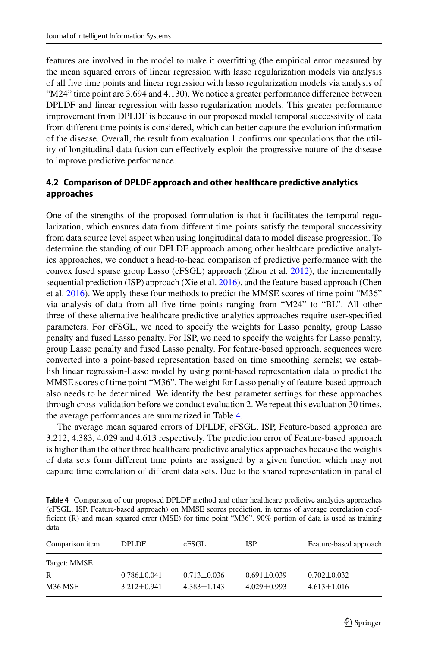features are involved in the model to make it overfitting (the empirical error measured by the mean squared errors of linear regression with lasso regularization models via analysis of all five time points and linear regression with lasso regularization models via analysis of "M24" time point are 3.694 and 4.130). We notice a greater performance difference between DPLDF and linear regression with lasso regularization models. This greater performance improvement from DPLDF is because in our proposed model temporal successivity of data from different time points is considered, which can better capture the evolution information of the disease. Overall, the result from evaluation 1 confirms our speculations that the utility of longitudinal data fusion can effectively exploit the progressive nature of the disease to improve predictive performance.

### **4.2 Comparison of DPLDF approach and other healthcare predictive analytics approaches**

One of the strengths of the proposed formulation is that it facilitates the temporal regularization, which ensures data from different time points satisfy the temporal successivity from data source level aspect when using longitudinal data to model disease progression. To determine the standing of our DPLDF approach among other healthcare predictive analytics approaches, we conduct a head-to-head comparison of predictive performance with the convex fused sparse group Lasso (cFSGL) approach (Zhou et al. [2012\)](#page-18-1), the incrementally sequential prediction (ISP) approach (Xie et al. [2016\)](#page-17-18), and the feature-based approach (Chen et al. [2016\)](#page-17-17). We apply these four methods to predict the MMSE scores of time point "M36" via analysis of data from all five time points ranging from "M24" to "BL". All other three of these alternative healthcare predictive analytics approaches require user-specified parameters. For cFSGL, we need to specify the weights for Lasso penalty, group Lasso penalty and fused Lasso penalty. For ISP, we need to specify the weights for Lasso penalty, group Lasso penalty and fused Lasso penalty. For feature-based approach, sequences were converted into a point-based representation based on time smoothing kernels; we establish linear regression-Lasso model by using point-based representation data to predict the MMSE scores of time point "M36". The weight for Lasso penalty of feature-based approach also needs to be determined. We identify the best parameter settings for these approaches through cross-validation before we conduct evaluation 2. We repeat this evaluation 30 times, the average performances are summarized in Table [4.](#page-12-0)

The average mean squared errors of DPLDF, cFSGL, ISP, Feature-based approach are 3.212, 4.383, 4.029 and 4.613 respectively. The prediction error of Feature-based approach is higher than the other three healthcare predictive analytics approaches because the weights of data sets form different time points are assigned by a given function which may not capture time correlation of different data sets. Due to the shared representation in parallel

<span id="page-12-0"></span>**Table 4** Comparison of our proposed DPLDF method and other healthcare predictive analytics approaches (cFSGL, ISP, Feature-based approach) on MMSE scores prediction, in terms of average correlation coefficient (R) and mean squared error (MSE) for time point "M36". 90% portion of data is used as training data

| Comparison item | <b>DPLDF</b>      | cFSGL             | <b>ISP</b>        | Feature-based approach |
|-----------------|-------------------|-------------------|-------------------|------------------------|
| Target: MMSE    |                   |                   |                   |                        |
| R               | $0.786 \pm 0.041$ | $0.713 \pm 0.036$ | $0.691 \pm 0.039$ | $0.702 \pm 0.032$      |
| M36 MSE         | $3.212 \pm 0.941$ | $4.383 \pm 1.143$ | $4.029 \pm 0.993$ | $4.613 \pm 1.016$      |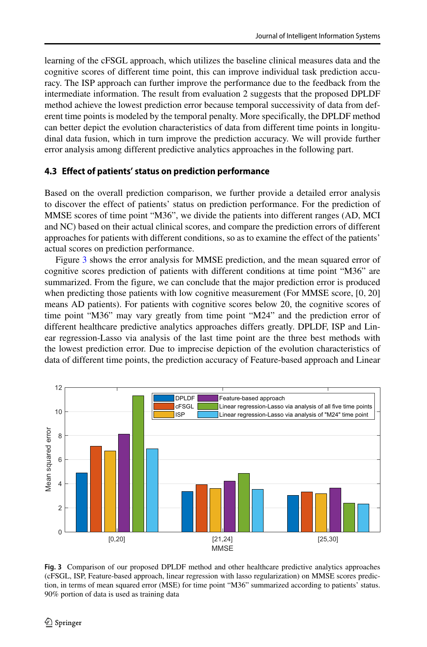learning of the cFSGL approach, which utilizes the baseline clinical measures data and the cognitive scores of different time point, this can improve individual task prediction accuracy. The ISP approach can further improve the performance due to the feedback from the intermediate information. The result from evaluation 2 suggests that the proposed DPLDF method achieve the lowest prediction error because temporal successivity of data from deferent time points is modeled by the temporal penalty. More specifically, the DPLDF method can better depict the evolution characteristics of data from different time points in longitudinal data fusion, which in turn improve the prediction accuracy. We will provide further error analysis among different predictive analytics approaches in the following part.

#### **4.3 Effect of patients' status on prediction performance**

Based on the overall prediction comparison, we further provide a detailed error analysis to discover the effect of patients' status on prediction performance. For the prediction of MMSE scores of time point "M36", we divide the patients into different ranges (AD, MCI and NC) based on their actual clinical scores, and compare the prediction errors of different approaches for patients with different conditions, so as to examine the effect of the patients' actual scores on prediction performance.

Figure [3](#page-13-0) shows the error analysis for MMSE prediction, and the mean squared error of cognitive scores prediction of patients with different conditions at time point "M36" are summarized. From the figure, we can conclude that the major prediction error is produced when predicting those patients with low cognitive measurement (For MMSE score, [0*,* 20] means AD patients). For patients with cognitive scores below 20, the cognitive scores of time point "M36" may vary greatly from time point "M24" and the prediction error of different healthcare predictive analytics approaches differs greatly. DPLDF, ISP and Linear regression-Lasso via analysis of the last time point are the three best methods with the lowest prediction error. Due to imprecise depiction of the evolution characteristics of data of different time points, the prediction accuracy of Feature-based approach and Linear

<span id="page-13-0"></span>

**Fig. 3** Comparison of our proposed DPLDF method and other healthcare predictive analytics approaches (cFSGL, ISP, Feature-based approach, linear regression with lasso regularization) on MMSE scores prediction, in terms of mean squared error (MSE) for time point "M36" summarized according to patients' status. 90% portion of data is used as training data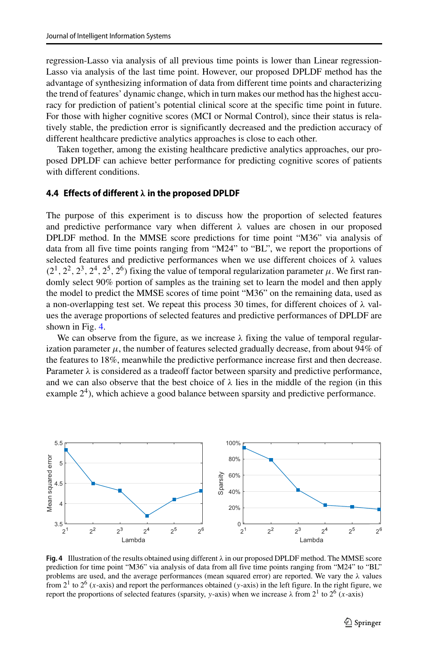regression-Lasso via analysis of all previous time points is lower than Linear regression-Lasso via analysis of the last time point. However, our proposed DPLDF method has the advantage of synthesizing information of data from different time points and characterizing the trend of features' dynamic change, which in turn makes our method has the highest accuracy for prediction of patient's potential clinical score at the specific time point in future. For those with higher cognitive scores (MCI or Normal Control), since their status is relatively stable, the prediction error is significantly decreased and the prediction accuracy of different healthcare predictive analytics approaches is close to each other.

Taken together, among the existing healthcare predictive analytics approaches, our proposed DPLDF can achieve better performance for predicting cognitive scores of patients with different conditions.

#### **4.4 Effects of different** *λ* **in the proposed DPLDF**

The purpose of this experiment is to discuss how the proportion of selected features and predictive performance vary when different *λ* values are chosen in our proposed DPLDF method. In the MMSE score predictions for time point "M36" via analysis of data from all five time points ranging from "M24" to "BL", we report the proportions of selected features and predictive performances when we use different choices of *λ* values  $(2^1, 2^2, 2^3, 2^4, 2^5, 2^6)$  fixing the value of temporal regularization parameter  $\mu$ . We first randomly select 90% portion of samples as the training set to learn the model and then apply the model to predict the MMSE scores of time point "M36" on the remaining data, used as a non-overlapping test set. We repeat this process 30 times, for different choices of *λ* values the average proportions of selected features and predictive performances of DPLDF are shown in Fig. [4.](#page-14-0)

We can observe from the figure, as we increase *λ* fixing the value of temporal regularization parameter  $\mu$ , the number of features selected gradually decrease, from about 94% of the features to 18%, meanwhile the predictive performance increase first and then decrease. Parameter *λ* is considered as a tradeoff factor between sparsity and predictive performance, and we can also observe that the best choice of  $\lambda$  lies in the middle of the region (in this example  $2<sup>4</sup>$ ), which achieve a good balance between sparsity and predictive performance.

<span id="page-14-0"></span>

**Fig. 4** Illustration of the results obtained using different *λ* in our proposed DPLDF method. The MMSE score prediction for time point "M36" via analysis of data from all five time points ranging from "M24" to "BL" problems are used, and the average performances (mean squared error) are reported. We vary the *λ* values from  $2<sup>1</sup>$  to  $2<sup>6</sup>$  (*x*-axis) and report the performances obtained (*y*-axis) in the left figure. In the right figure, we report the proportions of selected features (sparsity, *y*-axis) when we increase *λ* from 2<sup>1</sup> to 26 (*x*-axis)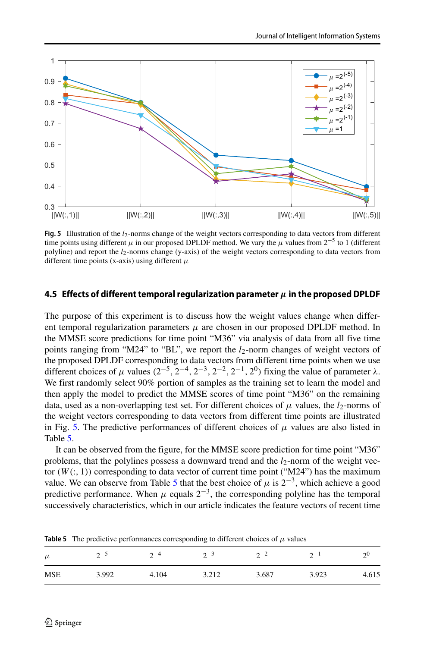<span id="page-15-0"></span>

**Fig. 5** Illustration of the *l*2-norms change of the weight vectors corresponding to data vectors from different time points using different  $\mu$  in our proposed DPLDF method. We vary the  $\mu$  values from 2<sup>−5</sup> to 1 (different polyline) and report the  $l_2$ -norms change (y-axis) of the weight vectors corresponding to data vectors from different time points (x-axis) using different *μ*

#### **4.5 Effects of different temporal regularization parameter***μ***in the proposed DPLDF**

The purpose of this experiment is to discuss how the weight values change when different temporal regularization parameters  $\mu$  are chosen in our proposed DPLDF method. In the MMSE score predictions for time point "M36" via analysis of data from all five time points ranging from "M24" to "BL", we report the *l*<sub>2</sub>-norm changes of weight vectors of the proposed DPLDF corresponding to data vectors from different time points when we use different choices of  $\mu$  values  $(2^{-5}, 2^{-4}, 2^{-3}, 2^{-2}, 2^{-1}, 2^0)$  fixing the value of parameter  $\lambda$ . We first randomly select 90% portion of samples as the training set to learn the model and then apply the model to predict the MMSE scores of time point "M36" on the remaining data, used as a non-overlapping test set. For different choices of  $\mu$  values, the *l*<sub>2</sub>-norms of the weight vectors corresponding to data vectors from different time points are illustrated in Fig. [5.](#page-15-0) The predictive performances of different choices of  $\mu$  values are also listed in Table [5.](#page-15-1)

It can be observed from the figure, for the MMSE score prediction for time point "M36" problems, that the polylines possess a downward trend and the  $l_2$ -norm of the weight vector  $(W(:, 1))$  corresponding to data vector of current time point ("M24") has the maximum value. We can observe from Table [5](#page-15-1) that the best choice of  $\mu$  is  $2^{-3}$ , which achieve a good predictive performance. When  $\mu$  equals  $2^{-3}$ , the corresponding polyline has the temporal successively characteristics, which in our article indicates the feature vectors of recent time

| $\mu$      | $\sim$ | $\mathcal{D}$ | $2^{\sim}$ | $2-2$ | $2^{-1}$ | റ്യ   |
|------------|--------|---------------|------------|-------|----------|-------|
| <b>MSE</b> | 3.992  | 4.104         | 3.212      | 3.687 | 3.923    | 4.615 |

<span id="page-15-1"></span>**Table 5** The predictive performances corresponding to different choices of  $\mu$  values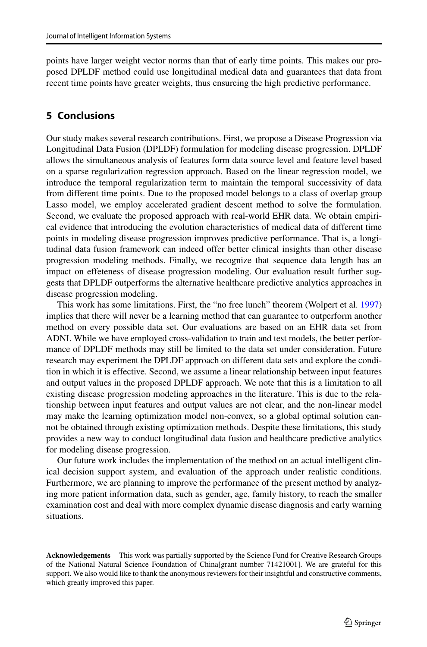points have larger weight vector norms than that of early time points. This makes our proposed DPLDF method could use longitudinal medical data and guarantees that data from recent time points have greater weights, thus ensureing the high predictive performance.

### **5 Conclusions**

Our study makes several research contributions. First, we propose a Disease Progression via Longitudinal Data Fusion (DPLDF) formulation for modeling disease progression. DPLDF allows the simultaneous analysis of features form data source level and feature level based on a sparse regularization regression approach. Based on the linear regression model, we introduce the temporal regularization term to maintain the temporal successivity of data from different time points. Due to the proposed model belongs to a class of overlap group Lasso model, we employ accelerated gradient descent method to solve the formulation. Second, we evaluate the proposed approach with real-world EHR data. We obtain empirical evidence that introducing the evolution characteristics of medical data of different time points in modeling disease progression improves predictive performance. That is, a longitudinal data fusion framework can indeed offer better clinical insights than other disease progression modeling methods. Finally, we recognize that sequence data length has an impact on effeteness of disease progression modeling. Our evaluation result further suggests that DPLDF outperforms the alternative healthcare predictive analytics approaches in disease progression modeling.

This work has some limitations. First, the "no free lunch" theorem (Wolpert et al. [1997\)](#page-17-27) implies that there will never be a learning method that can guarantee to outperform another method on every possible data set. Our evaluations are based on an EHR data set from ADNI. While we have employed cross-validation to train and test models, the better performance of DPLDF methods may still be limited to the data set under consideration. Future research may experiment the DPLDF approach on different data sets and explore the condition in which it is effective. Second, we assume a linear relationship between input features and output values in the proposed DPLDF approach. We note that this is a limitation to all existing disease progression modeling approaches in the literature. This is due to the relationship between input features and output values are not clear, and the non-linear model may make the learning optimization model non-convex, so a global optimal solution cannot be obtained through existing optimization methods. Despite these limitations, this study provides a new way to conduct longitudinal data fusion and healthcare predictive analytics for modeling disease progression.

Our future work includes the implementation of the method on an actual intelligent clinical decision support system, and evaluation of the approach under realistic conditions. Furthermore, we are planning to improve the performance of the present method by analyzing more patient information data, such as gender, age, family history, to reach the smaller examination cost and deal with more complex dynamic disease diagnosis and early warning situations.

**Acknowledgements** This work was partially supported by the Science Fund for Creative Research Groups of the National Natural Science Foundation of China[grant number 71421001]. We are grateful for this support. We also would like to thank the anonymous reviewers for their insightful and constructive comments, which greatly improved this paper.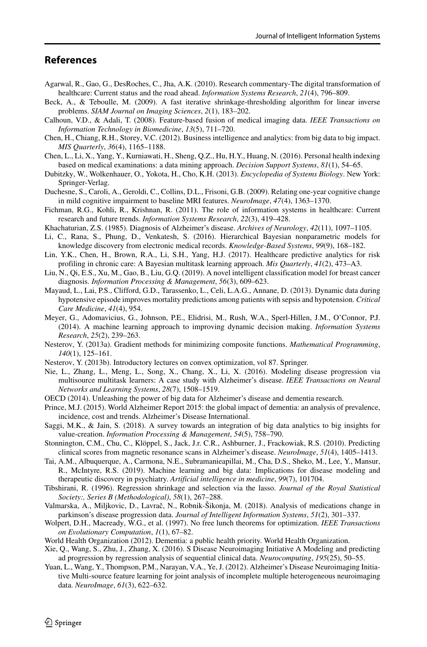### **References**

- <span id="page-17-4"></span>Agarwal, R., Gao, G., DesRoches, C., Jha, A.K. (2010). Research commentary-The digital transformation of healthcare: Current status and the road ahead. *Information Systems Research*, *21*(4), 796–809.
- <span id="page-17-24"></span>Beck, A., & Teboulle, M. (2009). A fast iterative shrinkage-thresholding algorithm for linear inverse problems. *SIAM Journal on Imaging Sciences*, *2*(1), 183–202.
- <span id="page-17-15"></span>Calhoun, V.D., & Adali, T. (2008). Feature-based fusion of medical imaging data. *IEEE Transactions on Information Technology in Biomedicine*, *13*(5), 711–720.
- <span id="page-17-6"></span>Chen, H., Chiang, R.H., Storey, V.C. (2012). Business intelligence and analytics: from big data to big impact. *MIS Quarterly*, *36*(4), 1165–1188.
- <span id="page-17-17"></span>Chen, L., Li, X., Yang, Y., Kurniawati, H., Sheng, Q.Z., Hu, H.Y., Huang, N. (2016). Personal health indexing based on medical examinations: a data mining approach. *Decision Support Systems*, *81*(1), 54–65.
- <span id="page-17-19"></span>Dubitzky, W., Wolkenhauer, O., Yokota, H., Cho, K.H. (2013). *Encyclopedia of Systems Biology*. New York: Springer-Verlag.
- <span id="page-17-7"></span>Duchesne, S., Caroli, A., Geroldi, C., Collins, D.L., Frisoni, G.B. (2009). Relating one-year cognitive change in mild cognitive impairment to baseline MRI features. *NeuroImage*, *47*(4), 1363–1370.
- <span id="page-17-5"></span>Fichman, R.G., Kohli, R., Krishnan, R. (2011). The role of information systems in healthcare: Current research and future trends. *Information Systems Research*, *22*(3), 419–428.
- <span id="page-17-0"></span>Khachaturian, Z.S. (1985). Diagnosis of Alzheimer's disease. *Archives of Neurology*, *42*(11), 1097–1105.
- <span id="page-17-12"></span>Li, C., Rana, S., Phung, D., Venkatesh, S. (2016). Hierarchical Bayesian nonparametric models for knowledge discovery from electronic medical records. *Knowledge-Based Systems*, *99*(9), 168–182.
- <span id="page-17-9"></span>Lin, Y.K., Chen, H., Brown, R.A., Li, S.H., Yang, H.J. (2017). Healthcare predictive analytics for risk profiling in chronic care: A Bayesian multitask learning approach. *Mis Quarterly*, *41*(2), 473–A3.
- <span id="page-17-11"></span>Liu, N., Qi, E.S., Xu, M., Gao, B., Liu, G.Q. (2019). A novel intelligent classification model for breast cancer diagnosis. *Information Processing & Management*, *56*(3), 609–623.
- <span id="page-17-13"></span>Mayaud, L., Lai, P.S., Clifford, G.D., Tarassenko, L., Celi, L.A.G., Annane, D. (2013). Dynamic data during hypotensive episode improves mortality predictions among patients with sepsis and hypotension. *Critical Care Medicine*, *41*(4), 954.
- <span id="page-17-14"></span>Meyer, G., Adomavicius, G., Johnson, P.E., Elidrisi, M., Rush, W.A., Sperl-Hillen, J.M., O'Connor, P.J. (2014). A machine learning approach to improving dynamic decision making. *Information Systems Research*, *25*(2), 239–263.
- <span id="page-17-25"></span>Nesterov, Y. (2013a). Gradient methods for minimizing composite functions. *Mathematical Programming*, *140*(1), 125–161.
- <span id="page-17-26"></span>Nesterov, Y. (2013b). Introductory lectures on convex optimization, vol 87. Springer.
- <span id="page-17-22"></span>Nie, L., Zhang, L., Meng, L., Song, X., Chang, X., Li, X. (2016). Modeling disease progression via multisource multitask learners: A case study with Alzheimer's disease. *IEEE Transactions on Neural Networks and Learning Systems*, *28*(7), 1508–1519.
- <span id="page-17-3"></span>OECD (2014). Unleashing the power of big data for Alzheimer's disease and dementia research.
- <span id="page-17-2"></span>Prince, M.J. (2015). World Alzheimer Report 2015: the global impact of dementia: an analysis of prevalence, incidence, cost and trends. Alzheimer's Disease International.
- <span id="page-17-20"></span>Saggi, M.K., & Jain, S. (2018). A survey towards an integration of big data analytics to big insights for value-creation. *Information Processing & Management*, *54*(5), 758–790.
- <span id="page-17-8"></span>Stonnington, C.M., Chu, C., Kloppel, S., Jack, J.r. C.R., Ashburner, J., Frackowiak, R.S. (2010). Predicting ¨ clinical scores from magnetic resonance scans in Alzheimer's disease. *NeuroImage*, *51*(4), 1405–1413.
- <span id="page-17-21"></span>Tai, A.M., Albuquerque, A., Carmona, N.E., Subramanieapillai, M., Cha, D.S., Sheko, M., Lee, Y., Mansur, R., McIntyre, R.S. (2019). Machine learning and big data: Implications for disease modeling and therapeutic discovery in psychiatry. *Artificial intelligence in medicine*, *99*(7), 101704.
- <span id="page-17-23"></span>Tibshirani, R. (1996). Regression shrinkage and selection via the lasso. *Journal of the Royal Statistical Society:, Series B (Methodological)*, *58*(1), 267–288.
- <span id="page-17-10"></span>Valmarska, A., Miljkovic, D., Lavrač, N., Robnik-Šikonja, M. (2018). Analysis of medications change in parkinson's disease progression data. *Journal of Intelligent Information Systems*, *51*(2), 301–337.
- <span id="page-17-27"></span>Wolpert, D.H., Macready, W.G., et al. (1997). No free lunch theorems for optimization. *IEEE Transactions on Evolutionary Computation*, *1*(1), 67–82.
- <span id="page-17-1"></span>World Health Organization (2012). Dementia: a public health priority. World Health Organization.
- <span id="page-17-18"></span>Xie, Q., Wang, S., Zhu, J., Zhang, X. (2016). S Disease Neuroimaging Initiative A Modeling and predicting ad progression by regression analysis of sequential clinical data. *Neurocomputing*, *195*(25), 50–55.
- <span id="page-17-16"></span>Yuan, L., Wang, Y., Thompson, P.M., Narayan, V.A., Ye, J. (2012). Alzheimer's Disease Neuroimaging Initiative Multi-source feature learning for joint analysis of incomplete multiple heterogeneous neuroimaging data. *NeuroImage*, *61*(3), 622–632.